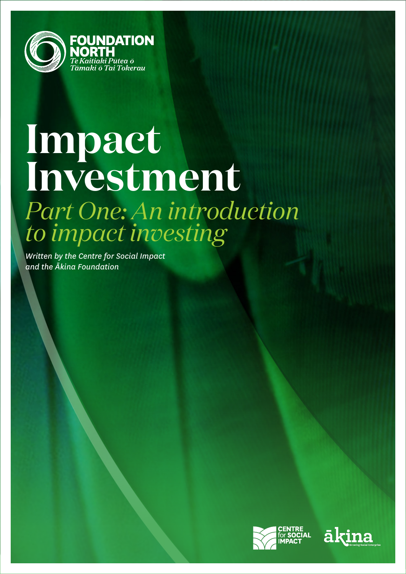

# **Impact Investment** *Part One: An introduction to impact investing*

*Written by the Centre for Social Impact and the Ākina Foundation*



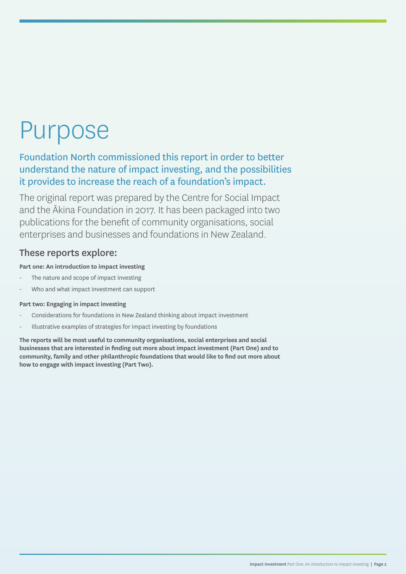## Purpose

Foundation North commissioned this report in order to better understand the nature of impact investing, and the possibilities it provides to increase the reach of a foundation's impact.

The original report was prepared by the Centre for Social Impact and the Ākina Foundation in 2017. It has been packaged into two publications for the benefit of community organisations, social enterprises and businesses and foundations in New Zealand.

## These reports explore:

## **Part one: An introduction to impact investing**

- The nature and scope of impact investing
- Who and what impact investment can support

### **Part two: Engaging in impact investing**

- Considerations for foundations in New Zealand thinking about impact investment
- Illustrative examples of strategies for impact investing by foundations

**The reports will be most useful to community organisations, social enterprises and social businesses that are interested in finding out more about impact investment (Part One) and to community, family and other philanthropic foundations that would like to find out more about how to engage with impact investing (Part Two).**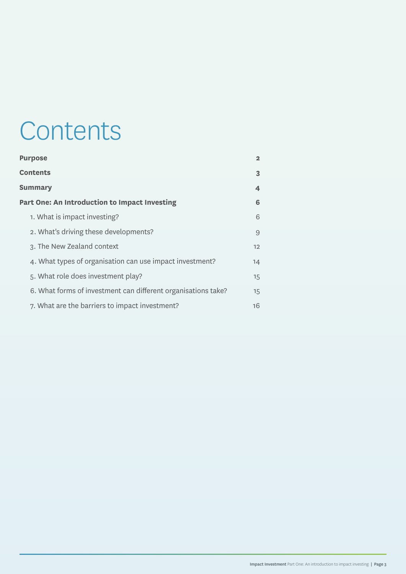## **Contents**

| <b>Purpose</b>                                                | $\mathbf{2}$       |
|---------------------------------------------------------------|--------------------|
| <b>Contents</b>                                               | 3                  |
| <b>Summary</b>                                                | $\overline{\bf 4}$ |
| Part One: An Introduction to Impact Investing                 | 6                  |
| 1. What is impact investing?                                  | 6                  |
| 2. What's driving these developments?                         | 9                  |
| 3. The New Zealand context                                    | 12                 |
| 4. What types of organisation can use impact investment?      | 14                 |
| 5. What role does investment play?                            | 15                 |
| 6. What forms of investment can different organisations take? | 15                 |
| 7. What are the barriers to impact investment?                | 16                 |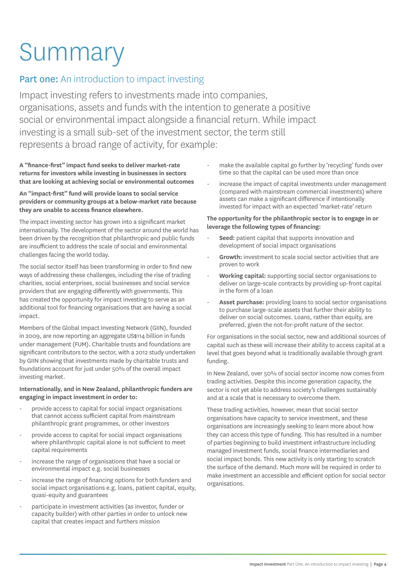# Summary

## **Part one:** An introduction to impact investing

Impact investing refers to investments made into companies, organisations, assets and funds with the intention to generate a positive social or environmental impact alongside a financial return. While impact investing is a small sub-set of the investment sector, the term still represents a broad range of activity, for example:

**A "finance-first" impact fund seeks to deliver market-rate returns for investors while investing in businesses in sectors that are looking at achieving social or environmental outcomes**

#### **An "impact-first" fund will provide loans to social service providers or community groups at a below-market rate because they are unable to access finance elsewhere.**

The impact investing sector has grown into a significant market internationally. The development of the sector around the world has been driven by the recognition that philanthropic and public funds are insufficient to address the scale of social and environmental challenges facing the world today.

The social sector itself has been transforming in order to find new ways of addressing these challenges, including the rise of trading charities, social enterprises, social businesses and social service providers that are engaging differently with governments. This has created the opportunity for impact investing to serve as an additional tool for financing organisations that are having a social impact.

Members of the Global Impact Investing Network (GIIN), founded in 2009, are now reporting an aggregate US\$114 billion in funds under management (FUM). Charitable trusts and foundations are significant contributors to the sector, with a 2012 study undertaken by GIIN showing that investments made by charitable trusts and foundations account for just under 50% of the overall impact investing market.

#### **Internationally, and in New Zealand, philanthropic funders are engaging in impact investment in order to:**

- provide access to capital for social impact organisations that cannot access sufficient capital from mainstream philanthropic grant programmes, or other investors
- provide access to capital for social impact organisations where philanthropic capital alone is not sufficient to meet capital requirements
- increase the range of organisations that have a social or environmental impact e.g. social businesses
- increase the range of financing options for both funders and social impact organisations e.g. loans, patient capital, equity, quasi-equity and guarantees
- participate in investment activities (as investor, funder or capacity builder) with other parties in order to unlock new capital that creates impact and furthers mission
- make the available capital go further by 'recycling' funds over time so that the capital can be used more than once
- increase the impact of capital investments under management (compared with mainstream commercial investments) where assets can make a significant difference if intentionally invested for impact with an expected 'market-rate' return

#### **The opportunity for the philanthropic sector is to engage in or leverage the following types of financing:**

- Seed: patient capital that supports innovation and development of social impact organisations
- Growth: investment to scale social sector activities that are proven to work
- Working capital: supporting social sector organisations to deliver on large-scale contracts by providing up-front capital in the form of a loan
- Asset purchase: providing loans to social sector organisations to purchase large-scale assets that further their ability to deliver on social outcomes. Loans, rather than equity, are preferred, given the not-for-profit nature of the sector.

For organisations in the social sector, new and additional sources of capital such as these will increase their ability to access capital at a level that goes beyond what is traditionally available through grant funding.

In New Zealand, over 50% of social sector income now comes from trading activities. Despite this income generation capacity, the sector is not yet able to address society's challenges sustainably and at a scale that is necessary to overcome them.

These trading activities, however, mean that social sector organisations have capacity to service investment, and these organisations are increasingly seeking to learn more about how they can access this type of funding. This has resulted in a number of parties beginning to build investment infrastructure including managed investment funds, social finance intermediaries and social impact bonds. This new activity is only starting to scratch the surface of the demand. Much more will be required in order to make investment an accessible and efficient option for social sector organisations.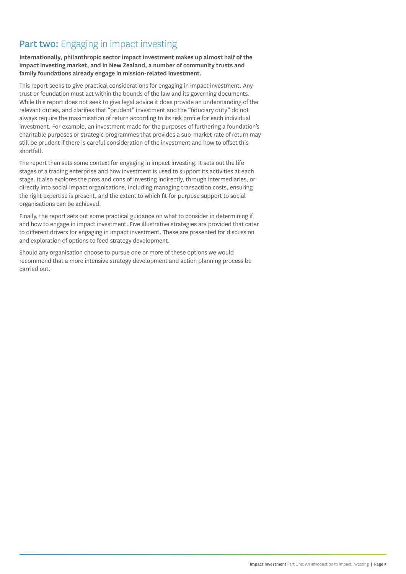## Part two: Engaging in impact investing

**Internationally, philanthropic sector impact investment makes up almost half of the impact investing market, and in New Zealand, a number of community trusts and family foundations already engage in mission-related investment.**

This report seeks to give practical considerations for engaging in impact investment. Any trust or foundation must act within the bounds of the law and its governing documents. While this report does not seek to give legal advice it does provide an understanding of the relevant duties, and clarifies that "prudent" investment and the "fiduciary duty" do not always require the maximisation of return according to its risk profile for each individual investment. For example, an investment made for the purposes of furthering a foundation's charitable purposes or strategic programmes that provides a sub-market rate of return may still be prudent if there is careful consideration of the investment and how to offset this shortfall.

The report then sets some context for engaging in impact investing. It sets out the life stages of a trading enterprise and how investment is used to support its activities at each stage. It also explores the pros and cons of investing indirectly, through intermediaries, or directly into social impact organisations, including managing transaction costs, ensuring the right expertise is present, and the extent to which fit-for purpose support to social organisations can be achieved.

Finally, the report sets out some practical guidance on what to consider in determining if and how to engage in impact investment. Five illustrative strategies are provided that cater to different drivers for engaging in impact investment. These are presented for discussion and exploration of options to feed strategy development.

Should any organisation choose to pursue one or more of these options we would recommend that a more intensive strategy development and action planning process be carried out.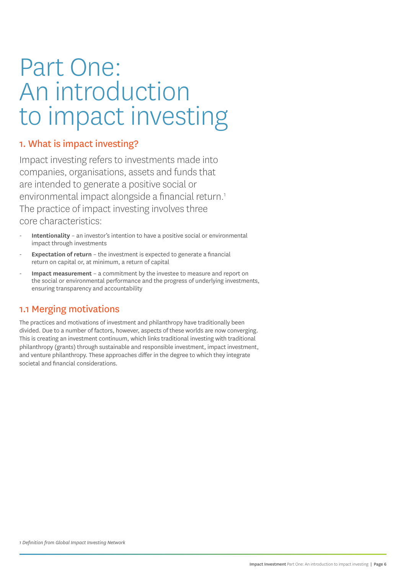## Part One: An introduction to impact investing

## 1. What is impact investing?

Impact investing refers to investments made into companies, organisations, assets and funds that are intended to generate a positive social or environmental impact alongside a financial return.<sup>1</sup> The practice of impact investing involves three core characteristics:

- **Intentionality** an investor's intention to have a positive social or environmental impact through investments
- **Expectation of return** the investment is expected to generate a financial return on capital or, at minimum, a return of capital
- **Impact measurement** a commitment by the investee to measure and report on the social or environmental performance and the progress of underlying investments, ensuring transparency and accountability

## 1.1 Merging motivations

The practices and motivations of investment and philanthropy have traditionally been divided. Due to a number of factors, however, aspects of these worlds are now converging. This is creating an investment continuum, which links traditional investing with traditional philanthropy (grants) through sustainable and responsible investment, impact investment, and venture philanthropy. These approaches differ in the degree to which they integrate societal and financial considerations.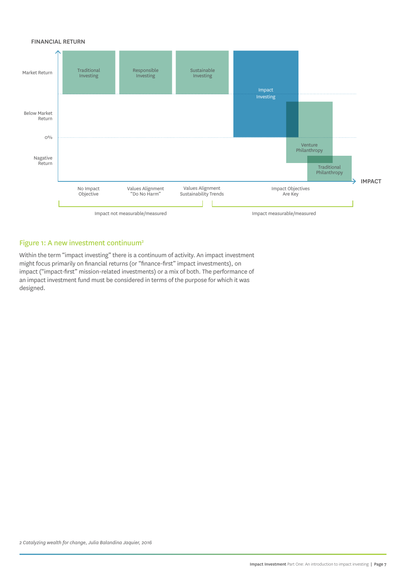#### FINANCIAL RETURN



#### Figure 1: A new investment continuum<sup>2</sup>

Within the term "impact investing" there is a continuum of activity. An impact investment might focus primarily on financial returns (or "finance-first" impact investments), on impact ("impact-first" mission-related investments) or a mix of both. The performance of an impact investment fund must be considered in terms of the purpose for which it was designed.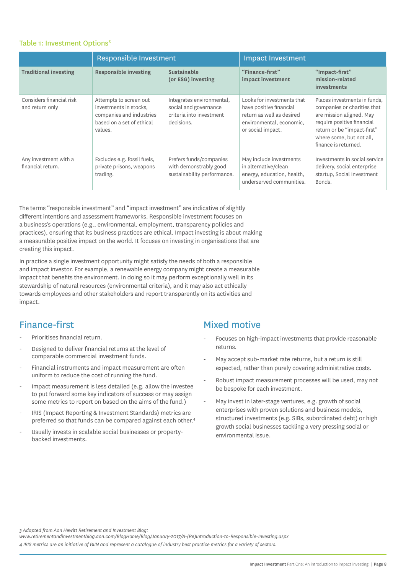#### Table 1: Investment Options<sup>3</sup>

|                                             | <b>Responsible Investment</b>                                                                                        |                                                                                              | <b>Impact Investment</b>                                                                                                            |                                                                                                                                                                                                          |
|---------------------------------------------|----------------------------------------------------------------------------------------------------------------------|----------------------------------------------------------------------------------------------|-------------------------------------------------------------------------------------------------------------------------------------|----------------------------------------------------------------------------------------------------------------------------------------------------------------------------------------------------------|
| <b>Traditional investing</b>                | <b>Responsible investing</b>                                                                                         | <b>Sustainable</b><br>(or ESG) investing                                                     | "Finance-first"<br>impact investment                                                                                                | "Impact-first"<br>mission-related<br>investments                                                                                                                                                         |
| Considers financial risk<br>and return only | Attempts to screen out<br>investments in stocks,<br>companies and industries<br>based on a set of ethical<br>values. | Integrates environmental,<br>social and governance<br>criteria into investment<br>decisions. | Looks for investments that<br>have positive financial<br>return as well as desired<br>environmental, economic,<br>or social impact. | Places investments in funds.<br>companies or charities that<br>are mission aligned. May<br>require positive financial<br>return or be "impact-first"<br>where some, but not all,<br>finance is returned. |
| Any investment with a<br>financial return.  | Excludes e.g. fossil fuels,<br>private prisons, weapons<br>trading.                                                  | Prefers funds/companies<br>with demonstrably good<br>sustainability performance.             | May include investments<br>in alternative/clean<br>energy, education, health,<br>underserved communities.                           | Investments in social service<br>delivery, social enterprise<br>startup, Social Investment<br>Bonds.                                                                                                     |

The terms "responsible investment" and "impact investment" are indicative of slightly different intentions and assessment frameworks. Responsible investment focuses on a business's operations (e.g., environmental, employment, transparency policies and practices), ensuring that its business practices are ethical. Impact investing is about making a measurable positive impact on the world. It focuses on investing in organisations that are creating this impact.

In practice a single investment opportunity might satisfy the needs of both a responsible and impact investor. For example, a renewable energy company might create a measurable impact that benefits the environment. In doing so it may perform exceptionally well in its stewardship of natural resources (environmental criteria), and it may also act ethically towards employees and other stakeholders and report transparently on its activities and impact.

## Finance-first

- Prioritises financial return.
- Designed to deliver financial returns at the level of comparable commercial investment funds.
- Financial instruments and impact measurement are often uniform to reduce the cost of running the fund.
- Impact measurement is less detailed (e.g. allow the investee to put forward some key indicators of success or may assign some metrics to report on based on the aims of the fund.)
- IRIS (Impact Reporting & Investment Standards) metrics are preferred so that funds can be compared against each other.<sup>4</sup>
- Usually invests in scalable social businesses or propertybacked investments.

## Mixed motive

- Focuses on high-impact investments that provide reasonable returns.
- May accept sub-market rate returns, but a return is still expected, rather than purely covering administrative costs.
- Robust impact measurement processes will be used, may not be bespoke for each investment.
- May invest in later-stage ventures, e.g. growth of social enterprises with proven solutions and business models, structured investments (e.g. SIBs, subordinated debt) or high growth social businesses tackling a very pressing social or environmental issue.

*3 Adapted from Aon Hewitt Retirement and Investment Blog:* 

*www.retirementandinvestmentblog.aon.com/BlogHome/Blog/January-2017/A-(Re)Introduction-to-Responsible-Investing.aspx*

*4 IRIS metrics are an initiative of GIIN and represent a catalogue of industry best practice metrics for a variety of sectors.*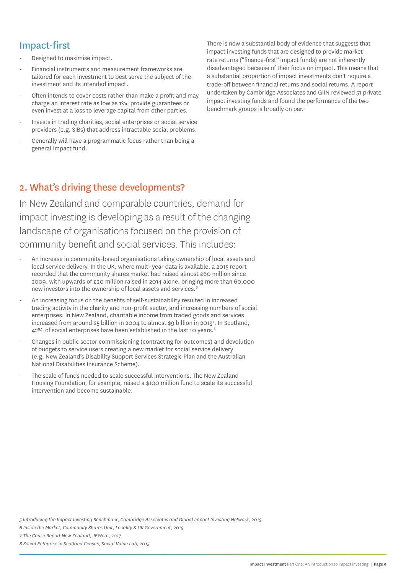## Impact-first

- Designed to maximise impact.
- Financial instruments and measurement frameworks are tailored for each investment to best serve the subject of the investment and its intended impact.
- Often intends to cover costs rather than make a profit and may charge an interest rate as low as 1%, provide guarantees or even invest at a loss to leverage capital from other parties.
- Invests in trading charities, social enterprises or social service providers (e.g. SIBs) that address intractable social problems.
- Generally will have a programmatic focus rather than being a general impact fund.

2. What's driving these developments?

In New Zealand and comparable countries, demand for impact investing is developing as a result of the changing landscape of organisations focused on the provision of community benefit and social services. This includes:

- An increase in community-based organisations taking ownership of local assets and local service delivery. In the UK, where multi-year data is available, a 2015 report recorded that the community shares market had raised almost £60 million since 2009, with upwards of £20 million raised in 2014 alone, bringing more than 60,000 new investors into the ownership of local assets and services.<sup>6</sup>
- An increasing focus on the benefits of self-sustainability resulted in increased trading activity in the charity and non-profit sector, and increasing numbers of social enterprises. In New Zealand, charitable income from traded goods and services increased from around \$5 billion in 2004 to almost \$9 billion in 20137 . In Scotland, 42% of social enterprises have been established in the last 10 years.<sup>8</sup>
- Changes in public sector commissioning (contracting for outcomes) and devolution of budgets to service users creating a new market for social service delivery (e.g. New Zealand's Disability Support Services Strategic Plan and the Australian National Disabilities Insurance Scheme).
- The scale of funds needed to scale successful interventions. The New Zealand Housing Foundation, for example, raised a \$100 million fund to scale its successful intervention and become sustainable.

*5 Introducing the Impact Investing Benchmark, Cambridge Associates and Global Impact Investing Network, 2015*

*6 Inside the Market, Community Shares Unit, Locality & UK Government, 2015*

*7 The Cause Report New Zealand, JBWere, 2017*

*8 Social Enteprise in Scotland Census, Social Value Lab, 2015*

There is now a substantial body of evidence that suggests that impact investing funds that are designed to provide market rate returns ("finance-first" impact funds) are not inherently disadvantaged because of their focus on impact. This means that a substantial proportion of impact investments don't require a trade-off between financial returns and social returns. A report undertaken by Cambridge Associates and GIIN reviewed 51 private impact investing funds and found the performance of the two benchmark groups is broadly on par.5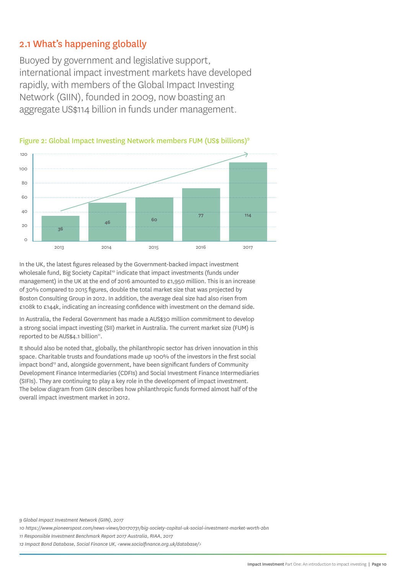## 2.1 What's happening globally

Buoyed by government and legislative support, international impact investment markets have developed rapidly, with members of the Global Impact Investing Network (GIIN), founded in 2009, now boasting an aggregate US\$114 billion in funds under management.





In the UK, the latest figures released by the Government-backed impact investment wholesale fund, Big Society Capital<sup>10</sup> indicate that impact investments (funds under management) in the UK at the end of 2016 amounted to  $\epsilon$ 1,950 million. This is an increase of 30% compared to 2015 figures, double the total market size that was projected by Boston Consulting Group in 2012. In addition, the average deal size had also risen from £108k to £144k, indicating an increasing confidence with investment on the demand side.

In Australia, the Federal Government has made a AUS\$30 million commitment to develop a strong social impact investing (SII) market in Australia. The current market size (FUM) is reported to be AUS\$4.1 billion<sup>11</sup>.

It should also be noted that, globally, the philanthropic sector has driven innovation in this space. Charitable trusts and foundations made up 100% of the investors in the first social impact bond<sup>12</sup> and, alongside government, have been significant funders of Community Development Finance Intermediaries (CDFIs) and Social Investment Finance Intermediaries (SIFIs). They are continuing to play a key role in the development of impact investment. The below diagram from GIIN describes how philanthropic funds formed almost half of the overall impact investment market in 2012.

*<sup>9</sup> Global Impact Investment Network (GIIN), 2017*

*<sup>10</sup> https://www.pioneerspost.com/news-views/20170731/big-society-capital-uk-social-investment-market-worth-2bn*

*<sup>11</sup> Responsible Investment Benchmark Report 2017 Australia, RIAA, 2017*

*<sup>12</sup> Impact Bond Database, Social Finance UK, <www.socialfinance.org.uk/database/>*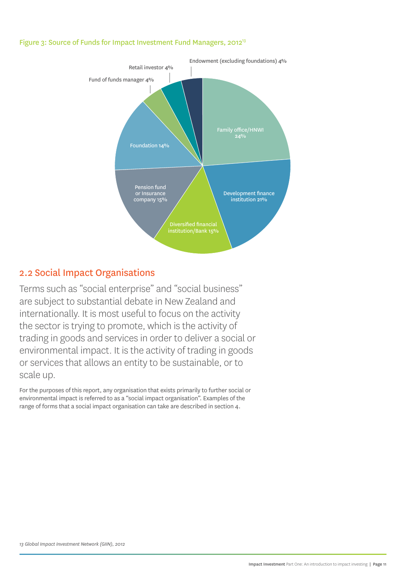#### Figure 3: Source of Funds for Impact Investment Fund Managers, 2012<sup>13</sup>



## 2.2 Social Impact Organisations

Terms such as "social enterprise" and "social business" are subject to substantial debate in New Zealand and internationally. It is most useful to focus on the activity the sector is trying to promote, which is the activity of trading in goods and services in order to deliver a social or environmental impact. It is the activity of trading in goods or services that allows an entity to be sustainable, or to scale up.

For the purposes of this report, any organisation that exists primarily to further social or environmental impact is referred to as a "social impact organisation". Examples of the range of forms that a social impact organisation can take are described in section 4.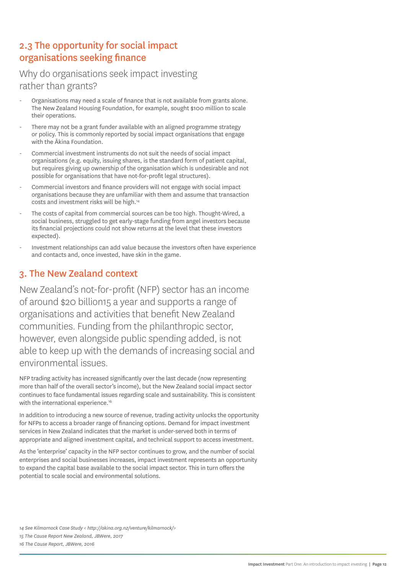## 2.3 The opportunity for social impact organisations seeking finance

## Why do organisations seek impact investing rather than grants?

- Organisations may need a scale of finance that is not available from grants alone. The New Zealand Housing Foundation, for example, sought \$100 million to scale their operations.
- There may not be a grant funder available with an aligned programme strategy or policy. This is commonly reported by social impact organisations that engage with the Ākina Foundation.
- Commercial investment instruments do not suit the needs of social impact organisations (e.g. equity, issuing shares, is the standard form of patient capital, but requires giving up ownership of the organisation which is undesirable and not possible for organisations that have not-for-profit legal structures).
- Commercial investors and finance providers will not engage with social impact organisations because they are unfamiliar with them and assume that transaction costs and investment risks will be high.14
- The costs of capital from commercial sources can be too high. Thought-Wired, a social business, struggled to get early-stage funding from angel investors because its financial projections could not show returns at the level that these investors expected).
- Investment relationships can add value because the investors often have experience and contacts and, once invested, have skin in the game.

## 3. The New Zealand context

New Zealand's not-for-profit (NFP) sector has an income of around \$20 billion15 a year and supports a range of organisations and activities that benefit New Zealand communities. Funding from the philanthropic sector, however, even alongside public spending added, is not able to keep up with the demands of increasing social and environmental issues.

NFP trading activity has increased significantly over the last decade (now representing more than half of the overall sector's income), but the New Zealand social impact sector continues to face fundamental issues regarding scale and sustainability. This is consistent with the international experience.<sup>16</sup>

In addition to introducing a new source of revenue, trading activity unlocks the opportunity for NFPs to access a broader range of financing options. Demand for impact investment services in New Zealand indicates that the market is under-served both in terms of appropriate and aligned investment capital, and technical support to access investment.

As the 'enterprise' capacity in the NFP sector continues to grow, and the number of social enterprises and social businesses increases, impact investment represents an opportunity to expand the capital base available to the social impact sector. This in turn offers the potential to scale social and environmental solutions.

*14 See Kilmarnock Case Study < http://akina.org.nz/venture/kilmarnock/>*

*15 The Cause Report New Zealand, JBWere, 2017*

*16 The Cause Report, JBWere, 2016*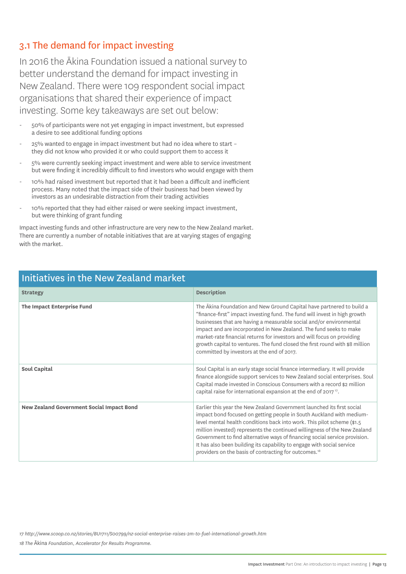## 3.1 The demand for impact investing

In 2016 the Ākina Foundation issued a national survey to better understand the demand for impact investing in New Zealand. There were 109 respondent social impact organisations that shared their experience of impact investing. Some key takeaways are set out below:

- 50% of participants were not yet engaging in impact investment, but expressed a desire to see additional funding options
- 25% wanted to engage in impact investment but had no idea where to start they did not know who provided it or who could support them to access it
- 5% were currently seeking impact investment and were able to service investment but were finding it incredibly difficult to find investors who would engage with them
- 10% had raised investment but reported that it had been a difficult and inefficient process. Many noted that the impact side of their business had been viewed by investors as an undesirable distraction from their trading activities
- 10% reported that they had either raised or were seeking impact investment, but were thinking of grant funding

Impact investing funds and other infrastructure are very new to the New Zealand market. There are currently a number of notable initiatives that are at varying stages of engaging with the market.

| Initiatives in the New Zealand market            |                                                                                                                                                                                                                                                                                                                                                                                                                                                                                                                                      |  |
|--------------------------------------------------|--------------------------------------------------------------------------------------------------------------------------------------------------------------------------------------------------------------------------------------------------------------------------------------------------------------------------------------------------------------------------------------------------------------------------------------------------------------------------------------------------------------------------------------|--|
| <b>Strategy</b>                                  | <b>Description</b>                                                                                                                                                                                                                                                                                                                                                                                                                                                                                                                   |  |
| The Impact Enterprise Fund                       | The Akina Foundation and New Ground Capital have partnered to build a<br>"finance-first" impact investing fund. The fund will invest in high growth<br>businesses that are having a measurable social and/or environmental<br>impact and are incorporated in New Zealand. The fund seeks to make<br>market-rate financial returns for investors and will focus on providing<br>growth capital to ventures. The fund closed the first round with \$8 million<br>committed by investors at the end of 2017.                            |  |
| Soul Capital                                     | Soul Capital is an early stage social finance intermediary. It will provide<br>finance alongside support services to New Zealand social enterprises. Soul<br>Capital made invested in Conscious Consumers with a record \$2 million<br>capital raise for international expansion at the end of 2017 <sup>17</sup> .                                                                                                                                                                                                                  |  |
| <b>New Zealand Government Social Impact Bond</b> | Earlier this year the New Zealand Government launched its first social<br>impact bond focused on getting people in South Auckland with medium-<br>level mental health conditions back into work. This pilot scheme (\$1.5)<br>million invested) represents the continued willingness of the New Zealand<br>Government to find alternative ways of financing social service provision.<br>It has also been building its capability to engage with social service<br>providers on the basis of contracting for outcomes. <sup>18</sup> |  |

## Initiatives in the New Zealand market

*17 http://www.scoop.co.nz/stories/BU1711/S00799/nz-social-enterprise-raises-2m-to-fuel-international-growth.htm*

*18 The* Ākina *Foundation, Accelerator for Results Programme.*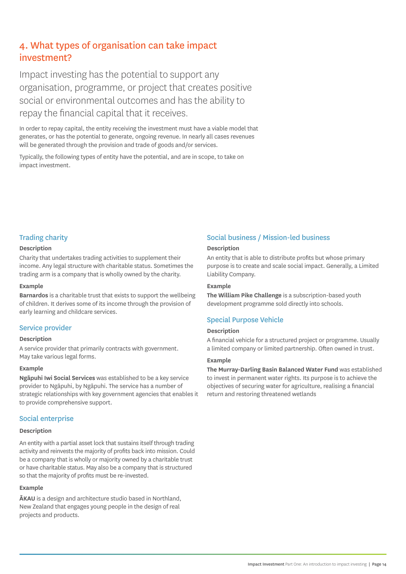## 4. What types of organisation can take impact investment?

Impact investing has the potential to support any organisation, programme, or project that creates positive social or environmental outcomes and has the ability to repay the financial capital that it receives.

In order to repay capital, the entity receiving the investment must have a viable model that generates, or has the potential to generate, ongoing revenue. In nearly all cases revenues will be generated through the provision and trade of goods and/or services.

Typically, the following types of entity have the potential, and are in scope, to take on impact investment.

### Trading charity

#### **Description**

Charity that undertakes trading activities to supplement their income. Any legal structure with charitable status. Sometimes the trading arm is a company that is wholly owned by the charity.

#### **Example**

**Barnardos** is a charitable trust that exists to support the wellbeing of children. It derives some of its income through the provision of early learning and childcare services.

#### Service provider

#### **Description**

A service provider that primarily contracts with government. May take various legal forms.

#### **Example**

**Ngāpuhi Iwi Social Services** was established to be a key service provider to Ngāpuhi, by Ngāpuhi. The service has a number of strategic relationships with key government agencies that enables it to provide comprehensive support.

#### Social enterprise

#### **Description**

An entity with a partial asset lock that sustains itself through trading activity and reinvests the majority of profits back into mission. Could be a company that is wholly or majority owned by a charitable trust or have charitable status. May also be a company that is structured so that the majority of profits must be re-invested.

#### **Example**

**ĀKAU** is a design and architecture studio based in Northland, New Zealand that engages young people in the design of real projects and products.

## Social business / Mission-led business

#### **Description**

An entity that is able to distribute profits but whose primary purpose is to create and scale social impact. Generally, a Limited Liability Company.

#### **Example**

**The William Pike Challenge** is a subscription-based youth development programme sold directly into schools.

### Special Purpose Vehicle

#### **Description**

A financial vehicle for a structured project or programme. Usually a limited company or limited partnership. Often owned in trust.

#### **Example**

**The Murray-Darling Basin Balanced Water Fund** was established to invest in permanent water rights. Its purpose is to achieve the objectives of securing water for agriculture, realising a financial return and restoring threatened wetlands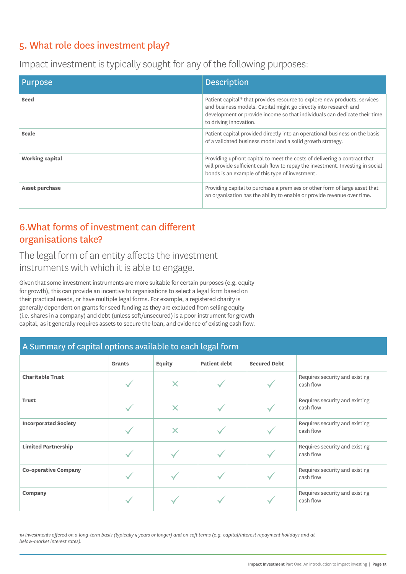## 5. What role does investment play?

Impact investment is typically sought for any of the following purposes:

| <b>Purpose</b>         | <b>Description</b>                                                                                                                                                                                                                                                |
|------------------------|-------------------------------------------------------------------------------------------------------------------------------------------------------------------------------------------------------------------------------------------------------------------|
| Seed                   | Patient capital <sup>19</sup> that provides resource to explore new products, services<br>and business models. Capital might go directly into research and<br>development or provide income so that individuals can dedicate their time<br>to driving innovation. |
| Scale                  | Patient capital provided directly into an operational business on the basis<br>of a validated business model and a solid growth strategy.                                                                                                                         |
| <b>Working capital</b> | Providing upfront capital to meet the costs of delivering a contract that<br>will provide sufficient cash flow to repay the investment. Investing in social<br>bonds is an example of this type of investment.                                                    |
| Asset purchase         | Providing capital to purchase a premises or other form of large asset that<br>an organisation has the ability to enable or provide revenue over time.                                                                                                             |

## 6.What forms of investment can different organisations take?

The legal form of an entity affects the investment instruments with which it is able to engage.

Given that some investment instruments are more suitable for certain purposes (e.g. equity for growth), this can provide an incentive to organisations to select a legal form based on their practical needs, or have multiple legal forms. For example, a registered charity is generally dependent on grants for seed funding as they are excluded from selling equity (i.e. shares in a company) and debt (unless soft/unsecured) is a poor instrument for growth capital, as it generally requires assets to secure the loan, and evidence of existing cash flow.

| A Summary of capital options available to each legal form |               |                           |                     |                     |                                             |
|-----------------------------------------------------------|---------------|---------------------------|---------------------|---------------------|---------------------------------------------|
|                                                           | <b>Grants</b> | <b>Equity</b>             | <b>Patient debt</b> | <b>Secured Debt</b> |                                             |
| <b>Charitable Trust</b>                                   |               | $\bm{\times}$             |                     |                     | Requires security and existing<br>cash flow |
| <b>Trust</b>                                              |               | $\bm{\times}$             |                     |                     | Requires security and existing<br>cash flow |
| <b>Incorporated Society</b>                               |               | $\boldsymbol{\mathsf{X}}$ |                     |                     | Requires security and existing<br>cash flow |
| <b>Limited Partnership</b>                                |               |                           |                     |                     | Requires security and existing<br>cash flow |
| <b>Co-operative Company</b>                               |               |                           |                     |                     | Requires security and existing<br>cash flow |
| Company                                                   |               |                           |                     |                     | Requires security and existing<br>cash flow |

*19 Investments offered on a long-term basis (typically 5 years or longer) and on soft terms (e.g. capital/interest repayment holidays and at below-market interest rates).*